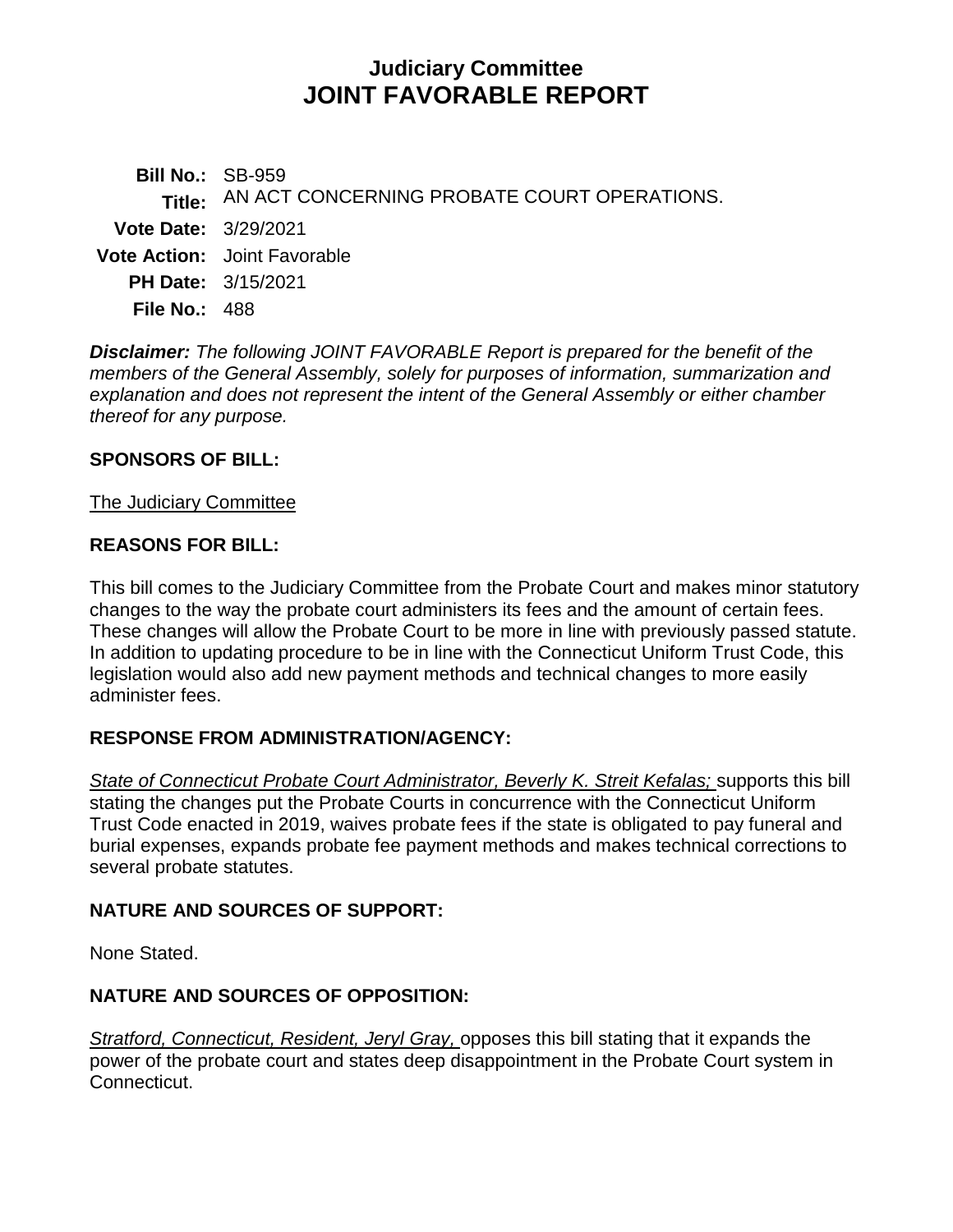# **Judiciary Committee JOINT FAVORABLE REPORT**

**Bill No.:** SB-959 **Title:** AN ACT CONCERNING PROBATE COURT OPERATIONS. **Vote Date:** 3/29/2021 **Vote Action:** Joint Favorable **PH Date:** 3/15/2021 **File No.:** 488

*Disclaimer: The following JOINT FAVORABLE Report is prepared for the benefit of the members of the General Assembly, solely for purposes of information, summarization and explanation and does not represent the intent of the General Assembly or either chamber thereof for any purpose.*

### **SPONSORS OF BILL:**

### The Judiciary Committee

### **REASONS FOR BILL:**

This bill comes to the Judiciary Committee from the Probate Court and makes minor statutory changes to the way the probate court administers its fees and the amount of certain fees. These changes will allow the Probate Court to be more in line with previously passed statute. In addition to updating procedure to be in line with the Connecticut Uniform Trust Code, this legislation would also add new payment methods and technical changes to more easily administer fees.

# **RESPONSE FROM ADMINISTRATION/AGENCY:**

*State of Connecticut Probate Court Administrator, Beverly K. Streit Kefalas;* supports this bill stating the changes put the Probate Courts in concurrence with the Connecticut Uniform Trust Code enacted in 2019, waives probate fees if the state is obligated to pay funeral and burial expenses, expands probate fee payment methods and makes technical corrections to several probate statutes.

### **NATURE AND SOURCES OF SUPPORT:**

None Stated.

# **NATURE AND SOURCES OF OPPOSITION:**

*Stratford, Connecticut, Resident, Jeryl Gray,* opposes this bill stating that it expands the power of the probate court and states deep disappointment in the Probate Court system in Connecticut.